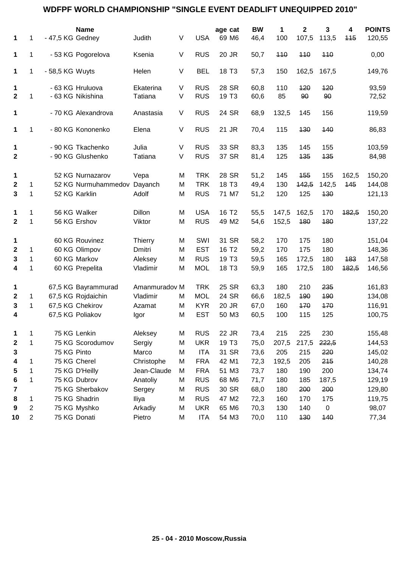## **WDFPF WORLD CHAMPIONSHIP "SINGLE EVENT DEADLIFT UNEQUIPPED 2010"**

|              |                |                  | <b>Name</b>         |                |   |            | age cat           | <b>BW</b> | 1     | $\mathbf 2$ | 3         | 4     | <b>POINTS</b> |
|--------------|----------------|------------------|---------------------|----------------|---|------------|-------------------|-----------|-------|-------------|-----------|-------|---------------|
| 1            | 1              | - 47,5 KG Gedney |                     | Judith         | V | <b>USA</b> | 69 M6             | 46,4      | 100   | 107,5       | 113,5     | 115   | 120,55        |
| 1            | 1              |                  | - 53 KG Pogorelova  | Ksenia         | V | <b>RUS</b> | 20 JR             | 50,7      | 440   | 440         | 440       |       | 0,00          |
| $\mathbf 1$  | 1              | - 58,5 KG Wuyts  |                     | Helen          | V | <b>BEL</b> | 18 T <sub>3</sub> | 57,3      | 150   | 162,5       | 167,5     |       | 149,76        |
| 1            |                |                  | - 63 KG Hruluova    | Ekaterina      | V | <b>RUS</b> | 28 SR             | 60,8      | 110   | 120         | 120       |       | 93,59         |
| $\mathbf 2$  | 1              |                  | - 63 KG Nikishina   | Tatiana        | V | <b>RUS</b> | 19 T <sub>3</sub> | 60,6      | 85    | 90          | 90        |       | 72,52         |
| 1            |                |                  | - 70 KG Alexandrova | Anastasia      | V | <b>RUS</b> | 24 SR             | 68,9      | 132,5 | 145         | 156       |       | 119,59        |
| 1            | 1              |                  | - 80 KG Kononenko   | Elena          | V | <b>RUS</b> | 21 JR             | 70,4      | 115   | 130         | 440       |       | 86,83         |
| 1            |                |                  | - 90 KG Tkachenko   | Julia          | V | <b>RUS</b> | 33 SR             | 83,3      | 135   | 145         | 155       |       | 103,59        |
| $\mathbf{2}$ |                |                  | - 90 KG Glushenko   | Tatiana        | V | <b>RUS</b> | 37 SR             | 81,4      | 125   | 135         | 435       |       | 84,98         |
| 1            |                |                  | 52 KG Nurnazarov    | Vepa           | M | <b>TRK</b> | 28 SR             | 51,2      | 145   | 155         | 155       | 162,5 | 150,20        |
| $\mathbf{2}$ | 1              |                  | 52 KG Nurmuhammedov | Dayanch        | M | <b>TRK</b> | 18 T <sub>3</sub> | 49,4      | 130   | 142,5       | 142,5     | 145   | 144,08        |
| 3            | 1              |                  | 52 KG Karklin       | Adolf          | M | <b>RUS</b> | 71 M7             | 51,2      | 120   | 125         | 130       |       | 121,13        |
| 1            | 1              |                  | 56 KG Walker        | Dillon         | M | <b>USA</b> | 16 T <sub>2</sub> | 55,5      | 147,5 | 162,5       | 170       | 182,5 | 150,20        |
| $\mathbf{2}$ | 1              |                  | 56 KG Ershov        | Viktor         | M | <b>RUS</b> | 49 M2             | 54,6      | 152,5 | 180         | 180       |       | 137,22        |
| 1            |                |                  | 60 KG Rouvinez      | <b>Thierry</b> | M | SWI        | 31 SR             | 58,2      | 170   | 175         | 180       |       | 151,04        |
| $\mathbf{2}$ | 1              |                  | 60 KG Olimpov       | Dmitri         | M | <b>EST</b> | 16 T <sub>2</sub> | 59,2      | 170   | 175         | 180       |       | 148,36        |
| 3            | 1              |                  | 60 KG Markov        | Aleksey        | M | <b>RUS</b> | 19 T <sub>3</sub> | 59,5      | 165   | 172,5       | 180       | 183   | 147,58        |
| 4            | 1              |                  | 60 KG Prepelita     | Vladimir       | M | <b>MOL</b> | 18 T <sub>3</sub> | 59,9      | 165   | 172,5       | 180       | 182,5 | 146,56        |
| 1            |                |                  | 67,5 KG Bayrammurad | Amanmuradov M  |   | <b>TRK</b> | 25 SR             | 63,3      | 180   | 210         | 235       |       | 161,83        |
| 2            | 1              |                  | 67,5 KG Rojdaichin  | Vladimir       | M | <b>MOL</b> | 24 SR             | 66,6      | 182,5 | 190         | 490       |       | 134,08        |
| 3            | 1              |                  | 67,5 KG Chekirov    | Azamat         | M | <b>KYR</b> | 20 JR             | 67,0      | 160   | 170         | 470       |       | 116,91        |
| 4            |                |                  | 67,5 KG Poliakov    | Igor           | M | <b>EST</b> | 50 M3             | 60,5      | 100   | 115         | 125       |       | 100,75        |
| 1            | 1              |                  | 75 KG Lenkin        | Aleksey        | M | <b>RUS</b> | 22 JR             | 73,4      | 215   | 225         | 230       |       | 155,48        |
| 2            | 1              |                  | 75 KG Scorodumov    | Sergiy         | M | <b>UKR</b> | 19 T <sub>3</sub> | 75,0      | 207,5 | 217,5       | 222,5     |       | 144,53        |
| 3            |                | 75 KG Pinto      |                     | Marco          | M | <b>ITA</b> | 31 SR             | 73,6      | 205   | 215         | 220       |       | 145,02        |
| 4            | 1              |                  | 75 KG Cherel        | Christophe     | M | <b>FRA</b> | 42 M1             | 72,3      | 192,5 | 205         | 215       |       | 140,28        |
| 5            | 1              |                  | 75 KG D'Heilly      | Jean-Claude    | M | <b>FRA</b> | 51 M3             | 73,7      | 180   | 190         | 200       |       | 134,74        |
| 6            | 1              |                  | 75 KG Dubrov        | Anatoliy       | M | <b>RUS</b> | 68 M6             | 71,7      | 180   | 185         | 187,5     |       | 129,19        |
| 7            |                |                  | 75 KG Sherbakov     | Sergey         | M | <b>RUS</b> | 30 SR             | 68,0      | 180   | 200         | 200       |       | 129,80        |
| 8            | 1              |                  | 75 KG Shadrin       | Iliya          | M | <b>RUS</b> | 47 M2             | 72,3      | 160   | 170         | 175       |       | 119,75        |
| 9            | $\overline{2}$ |                  | 75 KG Myshko        | Arkadiy        | M | <b>UKR</b> | 65 M6             | 70,3      | 130   | 140         | $\pmb{0}$ |       | 98,07         |
| 10           | $\overline{2}$ |                  | 75 KG Donati        | Pietro         | M | <b>ITA</b> | 54 M3             | 70,0      | 110   | 130         | 140       |       | 77,34         |